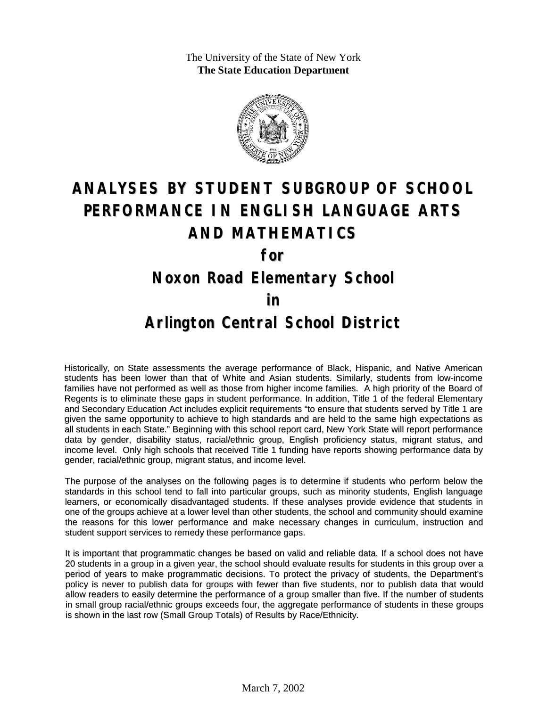The University of the State of New York **The State Education Department**



# **ANALYSES BY STUDENT SUBGROUP OF SCHOOL PERFORMANCE IN ENGLISH LANGUAGE ARTS AND MATHEMATICS**

**for**

#### **Noxon Road Elementary School**

#### **in**

### **Arlington Central School District**

Historically, on State assessments the average performance of Black, Hispanic, and Native American students has been lower than that of White and Asian students. Similarly, students from low-income families have not performed as well as those from higher income families. A high priority of the Board of Regents is to eliminate these gaps in student performance. In addition, Title 1 of the federal Elementary and Secondary Education Act includes explicit requirements "to ensure that students served by Title 1 are given the same opportunity to achieve to high standards and are held to the same high expectations as all students in each State." Beginning with this school report card, New York State will report performance data by gender, disability status, racial/ethnic group, English proficiency status, migrant status, and income level. Only high schools that received Title 1 funding have reports showing performance data by gender, racial/ethnic group, migrant status, and income level.

The purpose of the analyses on the following pages is to determine if students who perform below the standards in this school tend to fall into particular groups, such as minority students, English language learners, or economically disadvantaged students. If these analyses provide evidence that students in one of the groups achieve at a lower level than other students, the school and community should examine the reasons for this lower performance and make necessary changes in curriculum, instruction and student support services to remedy these performance gaps.

It is important that programmatic changes be based on valid and reliable data. If a school does not have 20 students in a group in a given year, the school should evaluate results for students in this group over a period of years to make programmatic decisions. To protect the privacy of students, the Department's policy is never to publish data for groups with fewer than five students, nor to publish data that would allow readers to easily determine the performance of a group smaller than five. If the number of students in small group racial/ethnic groups exceeds four, the aggregate performance of students in these groups is shown in the last row (Small Group Totals) of Results by Race/Ethnicity.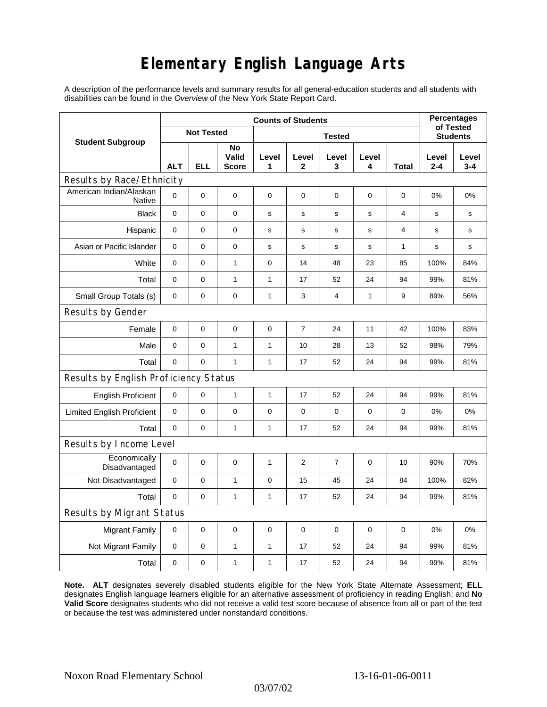# **Elementary English Language Arts**

A description of the performance levels and summary results for all general-education students and all students with disabilities can be found in the *Overview* of the New York State Report Card.

| <b>Student Subgroup</b>                  | <b>Counts of Students</b> |     |                             |               |                |                  |             |             | <b>Percentages</b>           |                  |
|------------------------------------------|---------------------------|-----|-----------------------------|---------------|----------------|------------------|-------------|-------------|------------------------------|------------------|
|                                          | <b>Not Tested</b>         |     |                             | <b>Tested</b> |                |                  |             |             | of Tested<br><b>Students</b> |                  |
|                                          | <b>ALT</b>                | ELL | No<br>Valid<br><b>Score</b> | Level<br>1    | Level<br>2     | Level<br>3       | Level<br>4  | Total       | Level<br>$2 - 4$             | Level<br>$3 - 4$ |
| Results by Race/Ethnicity                |                           |     |                             |               |                |                  |             |             |                              |                  |
| American Indian/Alaskan<br><b>Native</b> | $\Omega$                  | 0   | $\pmb{0}$                   | $\pmb{0}$     | 0              | 0                | 0           | 0           | 0%                           | 0%               |
| <b>Black</b>                             | $\mathbf 0$               | 0   | $\mathbf 0$                 | s             | s              | s                | s           | 4           | s                            | s                |
| Hispanic                                 | 0                         | 0   | $\pmb{0}$                   | s             | s              | $\mathbf s$      | s           | 4           | s                            | s                |
| Asian or Pacific Islander                | $\mathbf 0$               | 0   | $\mathbf 0$                 | s             | s              | $\mathsf{s}$     | s           | 1           | s                            | s                |
| White                                    | $\mathbf 0$               | 0   | $\mathbf{1}$                | $\mathbf 0$   | 14             | 48               | 23          | 85          | 100%                         | 84%              |
| Total                                    | $\mathbf 0$               | 0   | $\mathbf{1}$                | $\mathbf{1}$  | 17             | 52               | 24          | 94          | 99%                          | 81%              |
| Small Group Totals (s)                   | 0                         | 0   | 0                           | 1             | 3              | 4                | 1           | 9           | 89%                          | 56%              |
| Results by Gender                        |                           |     |                             |               |                |                  |             |             |                              |                  |
| Female                                   | $\mathbf 0$               | 0   | $\pmb{0}$                   | $\pmb{0}$     | $\overline{7}$ | 24               | 11          | 42          | 100%                         | 83%              |
| Male                                     | $\mathbf 0$               | 0   | $\mathbf{1}$                | 1             | 10             | 28               | 13          | 52          | 98%                          | 79%              |
| Total                                    | $\mathbf 0$               | 0   | $\mathbf{1}$                | $\mathbf{1}$  | 17             | 52               | 24          | 94          | 99%                          | 81%              |
| Results by English Proficiency Status    |                           |     |                             |               |                |                  |             |             |                              |                  |
| <b>English Proficient</b>                | 0                         | 0   | $\mathbf{1}$                | 1             | 17             | 52               | 24          | 94          | 99%                          | 81%              |
| <b>Limited English Proficient</b>        | 0                         | 0   | $\pmb{0}$                   | $\pmb{0}$     | 0              | $\mathbf 0$      | 0           | 0           | 0%                           | 0%               |
| Total                                    | $\Omega$                  | 0   | $\mathbf{1}$                | $\mathbf{1}$  | 17             | 52               | 24          | 94          | 99%                          | 81%              |
| Results by Income Level                  |                           |     |                             |               |                |                  |             |             |                              |                  |
| Economically<br>Disadvantaged            | $\mathbf 0$               | 0   | $\mathbf 0$                 | 1             | 2              | $\boldsymbol{7}$ | 0           | 10          | 90%                          | 70%              |
| Not Disadvantaged                        | $\mathbf 0$               | 0   | $\mathbf{1}$                | 0             | 15             | 45               | 24          | 84          | 100%                         | 82%              |
| Total                                    | $\mathbf 0$               | 0   | $\mathbf{1}$                | $\mathbf{1}$  | 17             | 52               | 24          | 94          | 99%                          | 81%              |
| <b>Results by Migrant Status</b>         |                           |     |                             |               |                |                  |             |             |                              |                  |
| <b>Migrant Family</b>                    | $\mathbf 0$               | 0   | 0                           | 0             | $\mathbf 0$    | $\mathbf 0$      | $\mathbf 0$ | $\mathbf 0$ | 0%                           | 0%               |
| Not Migrant Family                       | $\mathbf 0$               | 0   | $\mathbf{1}$                | 1             | 17             | 52               | 24          | 94          | 99%                          | 81%              |
| Total                                    | $\mathbf 0$               | 0   | $\mathbf{1}$                | 1             | 17             | 52               | 24          | 94          | 99%                          | 81%              |

**Note. ALT** designates severely disabled students eligible for the New York State Alternate Assessment; **ELL** designates English language learners eligible for an alternative assessment of proficiency in reading English; and **No Valid Score** designates students who did not receive a valid test score because of absence from all or part of the test or because the test was administered under nonstandard conditions.

03/07/02